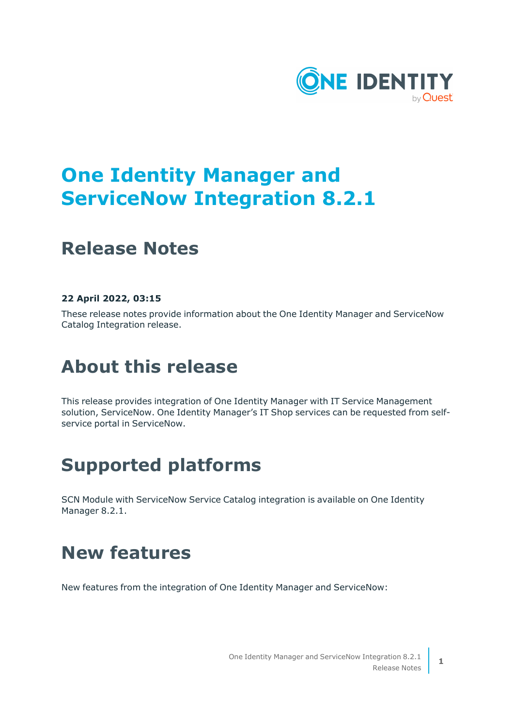

# **One Identity Manager and ServiceNow Integration 8.2.1**

### **Release Notes**

### **22 April 2022, 03:15**

These release notes provide information about the One Identity Manager and ServiceNow Catalog Integration release.

# **About this release**

This release provides integration of One Identity Manager with IT Service Management solution, ServiceNow. One Identity Manager's IT Shop services can be requested from selfservice portal in ServiceNow.

## **Supported platforms**

SCN Module with ServiceNow Service Catalog integration is available on One Identity Manager 8.2.1.

### **New features**

New features from the integration of One Identity Manager and ServiceNow: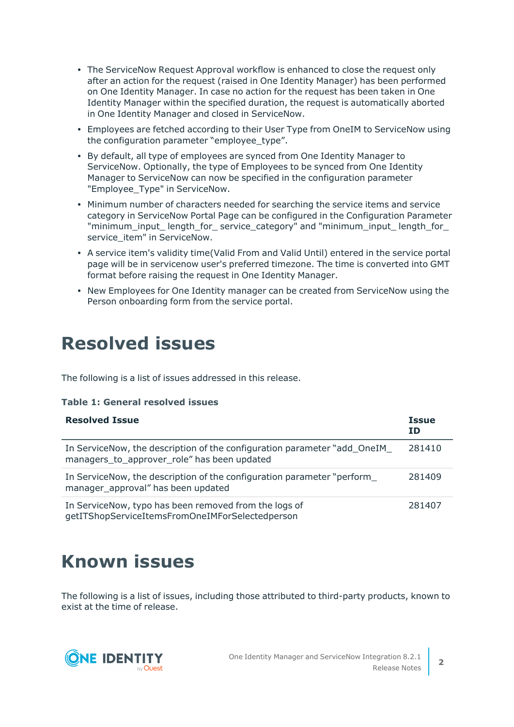- The ServiceNow Request Approval workflow is enhanced to close the request only after an action for the request (raised in One Identity Manager) has been performed on One Identity Manager. In case no action for the request has been taken in One Identity Manager within the specified duration, the request is automatically aborted in One Identity Manager and closed in ServiceNow.
- <sup>l</sup> Employees are fetched according to their User Type from OneIM to ServiceNow using the configuration parameter "employee\_type".
- By default, all type of employees are synced from One Identity Manager to ServiceNow. Optionally, the type of Employees to be synced from One Identity Manager to ServiceNow can now be specified in the configuration parameter "Employee Type" in ServiceNow.
- Minimum number of characters needed for searching the service items and service category in ServiceNow Portal Page can be configured in the Configuration Parameter "minimum\_input\_ length\_for\_ service\_category" and "minimum\_input\_ length\_for\_ service item" in ServiceNow.
- A service item's validity time(Valid From and Valid Until) entered in the service portal page will be in servicenow user's preferred timezone. The time is converted into GMT format before raising the request in One Identity Manager.
- New Employees for One Identity manager can be created from ServiceNow using the Person onboarding form from the service portal.

### **Resolved issues**

The following is a list of issues addressed in this release.

#### **Table 1: General resolved issues**

| <b>Resolved Issue</b>                                                                                                    | <b>Issue</b><br>ID |
|--------------------------------------------------------------------------------------------------------------------------|--------------------|
| In ServiceNow, the description of the configuration parameter "add_OneIM_<br>managers_to_approver_role" has been updated | 281410             |
| In ServiceNow, the description of the configuration parameter "perform<br>manager approval" has been updated             | 281409             |
| In ServiceNow, typo has been removed from the logs of<br>getITShopServiceItemsFromOneIMForSelectedperson                 | 281407             |

## **Known issues**

The following is a list of issues, including those attributed to third-party products, known to exist at the time of release.

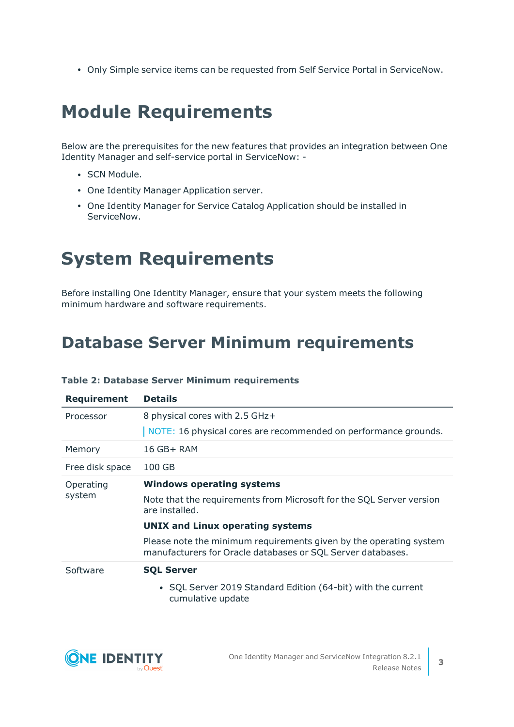• Only Simple service items can be requested from Self Service Portal in ServiceNow.

# **Module Requirements**

Below are the prerequisites for the new features that provides an integration between One Identity Manager and self-service portal in ServiceNow: -

- SCN Module.
- One Identity Manager Application server.
- One Identity Manager for Service Catalog Application should be installed in ServiceNow.

# **System Requirements**

Before installing One Identity Manager, ensure that your system meets the following minimum hardware and software requirements.

### **Database Server Minimum requirements**

| <b>Requirement</b> | <b>Details</b>                                                                                                                    |
|--------------------|-----------------------------------------------------------------------------------------------------------------------------------|
| Processor          | 8 physical cores with 2.5 GHz+                                                                                                    |
|                    | NOTE: 16 physical cores are recommended on performance grounds.                                                                   |
| Memory             | 16 GB+ RAM                                                                                                                        |
| Free disk space    | 100 GB                                                                                                                            |
| Operating          | <b>Windows operating systems</b>                                                                                                  |
| system             | Note that the requirements from Microsoft for the SQL Server version<br>are installed.                                            |
|                    | <b>UNIX and Linux operating systems</b>                                                                                           |
|                    | Please note the minimum requirements given by the operating system<br>manufacturers for Oracle databases or SQL Server databases. |
| Software           | <b>SQL Server</b>                                                                                                                 |
|                    | • SQL Server 2019 Standard Edition (64-bit) with the current<br>cumulative update                                                 |

#### **Table 2: Database Server Minimum requirements**

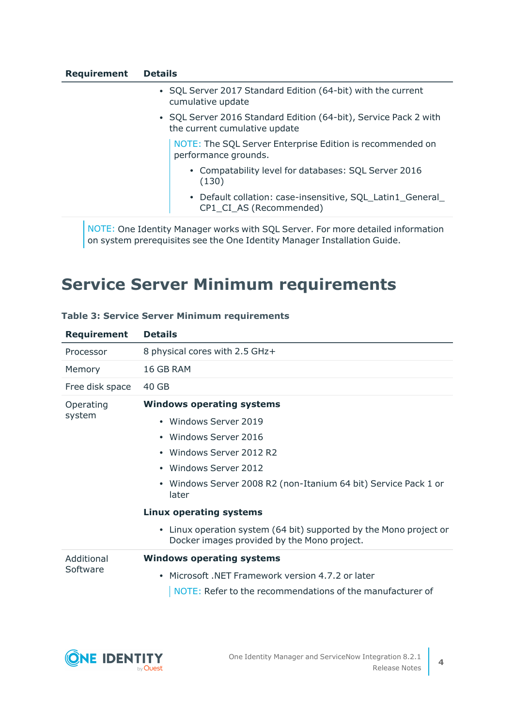| <b>Requirement</b> | <b>Details</b> |
|--------------------|----------------|
|--------------------|----------------|

| • SQL Server 2017 Standard Edition (64-bit) with the current |
|--------------------------------------------------------------|
| cumulative update                                            |

• SQL Server 2016 Standard Edition (64-bit), Service Pack 2 with the current cumulative update

NOTE: The SQL Server Enterprise Edition is recommended on performance grounds.

- Compatability level for databases: SQL Server 2016 (130)
- Default collation: case-insensitive, SQL\_Latin1\_General\_ CP1 CI AS (Recommended)

NOTE: One Identity Manager works with SQL Server. For more detailed information on system prerequisites see the One Identity Manager Installation Guide.

### **Service Server Minimum requirements**

| 8 physical cores with 2.5 GHz+                                                                                    |
|-------------------------------------------------------------------------------------------------------------------|
| 16 GB RAM                                                                                                         |
| 40 GB                                                                                                             |
| <b>Windows operating systems</b>                                                                                  |
| • Windows Server 2019                                                                                             |
| • Windows Server 2016                                                                                             |
| • Windows Server 2012 R2                                                                                          |
| • Windows Server 2012                                                                                             |
| Windows Server 2008 R2 (non-Itanium 64 bit) Service Pack 1 or<br>$\bullet$<br>later                               |
| <b>Linux operating systems</b>                                                                                    |
| • Linux operation system (64 bit) supported by the Mono project or<br>Docker images provided by the Mono project. |
| <b>Windows operating systems</b>                                                                                  |
| Microsoft, NET Framework version 4.7.2 or later                                                                   |
| NOTE: Refer to the recommendations of the manufacturer of                                                         |
|                                                                                                                   |

#### **Table 3: Service Server Minimum requirements**

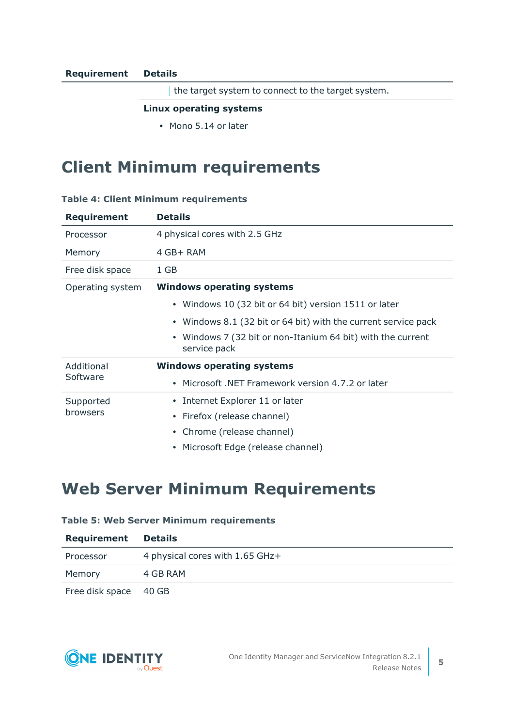#### **Requirement Details**

the target system to connect to the target system.

#### **Linux operating systems**

• Mono 5.14 or later

### **Client Minimum requirements**

### **Table 4: Client Minimum requirements**

| <b>Requirement</b>    | <b>Details</b>                                                                         |
|-----------------------|----------------------------------------------------------------------------------------|
| Processor             | 4 physical cores with 2.5 GHz                                                          |
| Memory                | 4 GB+ RAM                                                                              |
| Free disk space       | 1 GB                                                                                   |
| Operating system      | <b>Windows operating systems</b>                                                       |
|                       | • Windows 10 (32 bit or 64 bit) version 1511 or later                                  |
|                       | • Windows 8.1 (32 bit or 64 bit) with the current service pack                         |
|                       | Windows 7 (32 bit or non-Itanium 64 bit) with the current<br>$\bullet$<br>service pack |
| Additional            | <b>Windows operating systems</b>                                                       |
| Software              | Microsoft, NET Framework version 4.7.2 or later<br>$\bullet$                           |
| Supported<br>browsers | • Internet Explorer 11 or later                                                        |
|                       | Firefox (release channel)<br>$\bullet$                                                 |
|                       | Chrome (release channel)<br>$\bullet$                                                  |
|                       | • Microsoft Edge (release channel)                                                     |

### **Web Server Minimum Requirements**

### **Table 5: Web Server Minimum requirements**

| Requirement           | <b>Details</b>                  |
|-----------------------|---------------------------------|
| Processor             | 4 physical cores with 1.65 GHz+ |
| Memory                | 4 GB RAM                        |
| Free disk space 40 GB |                                 |

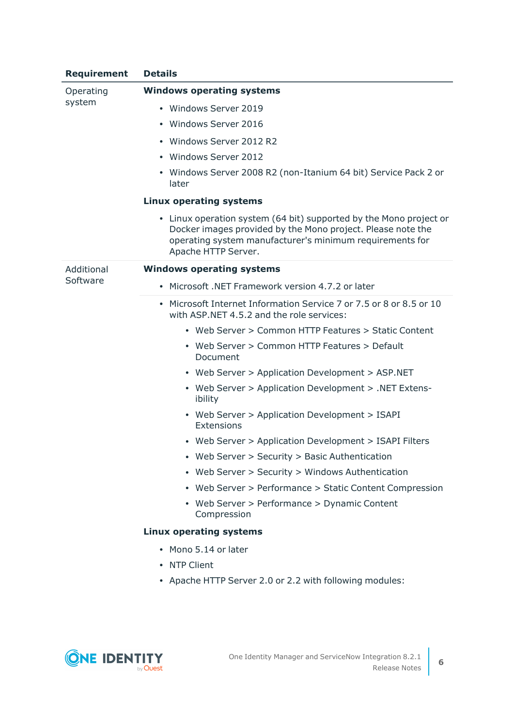| <b>Requirement</b> | <b>Details</b>                                                                                                                                                                                                       |
|--------------------|----------------------------------------------------------------------------------------------------------------------------------------------------------------------------------------------------------------------|
| Operating          | <b>Windows operating systems</b>                                                                                                                                                                                     |
| system             | • Windows Server 2019                                                                                                                                                                                                |
|                    | • Windows Server 2016                                                                                                                                                                                                |
|                    | • Windows Server 2012 R2                                                                                                                                                                                             |
|                    | • Windows Server 2012                                                                                                                                                                                                |
|                    | • Windows Server 2008 R2 (non-Itanium 64 bit) Service Pack 2 or<br>later                                                                                                                                             |
|                    | <b>Linux operating systems</b>                                                                                                                                                                                       |
|                    | • Linux operation system (64 bit) supported by the Mono project or<br>Docker images provided by the Mono project. Please note the<br>operating system manufacturer's minimum requirements for<br>Apache HTTP Server. |
| Additional         | <b>Windows operating systems</b>                                                                                                                                                                                     |
| Software           | • Microsoft .NET Framework version 4.7.2 or later                                                                                                                                                                    |
|                    | • Microsoft Internet Information Service 7 or 7.5 or 8 or 8.5 or 10<br>with ASP.NET 4.5.2 and the role services:                                                                                                     |
|                    | • Web Server > Common HTTP Features > Static Content                                                                                                                                                                 |
|                    | • Web Server > Common HTTP Features > Default<br>Document                                                                                                                                                            |
|                    | • Web Server > Application Development > ASP.NET                                                                                                                                                                     |
|                    | • Web Server > Application Development > .NET Extens-<br>ibility                                                                                                                                                     |
|                    | • Web Server > Application Development > ISAPI<br>Extensions                                                                                                                                                         |
|                    | • Web Server > Application Development > ISAPI Filters                                                                                                                                                               |
|                    | Web Server > Security > Basic Authentication                                                                                                                                                                         |
|                    | • Web Server > Security > Windows Authentication                                                                                                                                                                     |
|                    | • Web Server > Performance > Static Content Compression                                                                                                                                                              |
|                    | • Web Server > Performance > Dynamic Content<br>Compression                                                                                                                                                          |
|                    | <b>Linux operating systems</b>                                                                                                                                                                                       |
|                    | • Mono 5.14 or later                                                                                                                                                                                                 |
|                    | • NTP Client                                                                                                                                                                                                         |
|                    | • Apache HTTP Server 2.0 or 2.2 with following modules:                                                                                                                                                              |

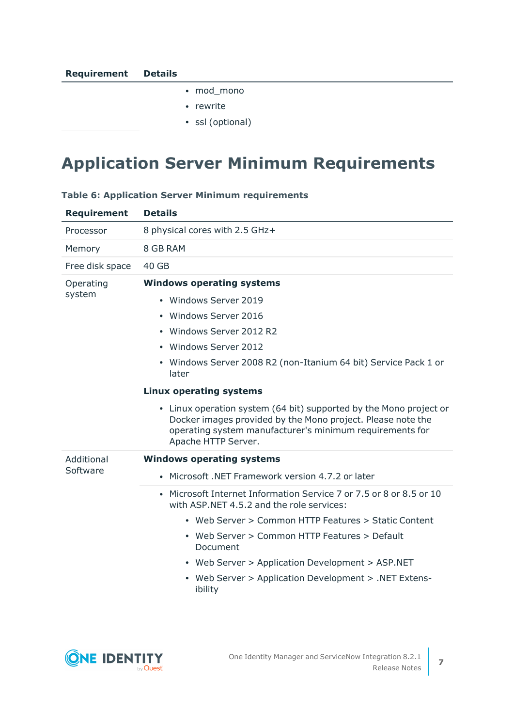- mod\_mono
- rewrite
- ssl (optional)

### **Application Server Minimum Requirements**

| <b>Requirement</b> | <b>Details</b>                                                                                                                                                                                                       |
|--------------------|----------------------------------------------------------------------------------------------------------------------------------------------------------------------------------------------------------------------|
| Processor          | 8 physical cores with 2.5 GHz+                                                                                                                                                                                       |
| Memory             | 8 GB RAM                                                                                                                                                                                                             |
| Free disk space    | 40 GB                                                                                                                                                                                                                |
| Operating          | <b>Windows operating systems</b>                                                                                                                                                                                     |
| system             | • Windows Server 2019                                                                                                                                                                                                |
|                    | • Windows Server 2016                                                                                                                                                                                                |
|                    | • Windows Server 2012 R2                                                                                                                                                                                             |
|                    | • Windows Server 2012                                                                                                                                                                                                |
|                    | • Windows Server 2008 R2 (non-Itanium 64 bit) Service Pack 1 or<br>later                                                                                                                                             |
|                    | <b>Linux operating systems</b>                                                                                                                                                                                       |
|                    | • Linux operation system (64 bit) supported by the Mono project or<br>Docker images provided by the Mono project. Please note the<br>operating system manufacturer's minimum requirements for<br>Apache HTTP Server. |
| Additional         | <b>Windows operating systems</b>                                                                                                                                                                                     |
| Software           | • Microsoft, NET Framework version 4.7.2 or later                                                                                                                                                                    |
|                    | • Microsoft Internet Information Service 7 or 7.5 or 8 or 8.5 or 10<br>with ASP.NET 4.5.2 and the role services:                                                                                                     |
|                    | • Web Server > Common HTTP Features > Static Content                                                                                                                                                                 |
|                    | • Web Server > Common HTTP Features > Default<br>Document                                                                                                                                                            |
|                    | • Web Server > Application Development > ASP.NET                                                                                                                                                                     |
|                    | • Web Server > Application Development > .NET Extens-<br>ibility                                                                                                                                                     |

### **Table 6: Application Server Minimum requirements**

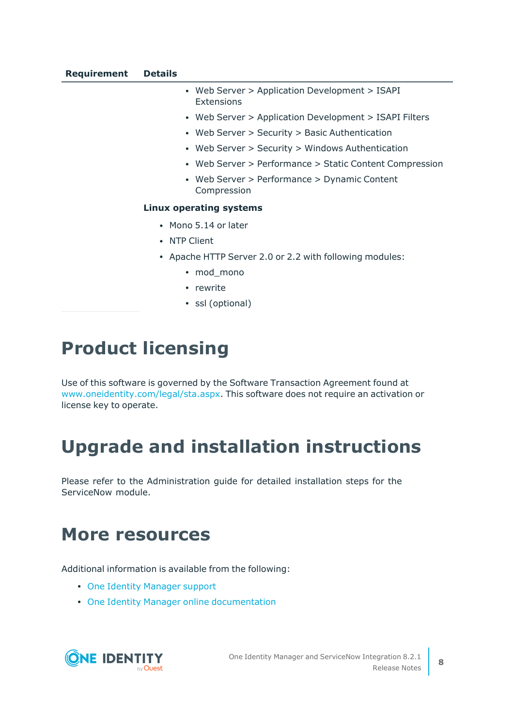- Web Server > Application Development > ISAPI Extensions
- Web Server > Application Development > ISAPI Filters
- Web Server > Security > Basic Authentication
- Web Server > Security > Windows Authentication
- Web Server > Performance > Static Content Compression
- Web Server > Performance > Dynamic Content Compression

#### **Linux operating systems**

- Mono 5.14 or later
- NTP Client
- Apache HTTP Server 2.0 or 2.2 with following modules:
	- mod\_mono
	- rewrite
	- ssl (optional)

## **Product licensing**

Use of this software is governed by the Software Transaction Agreement found at [www.oneidentity.com/legal/sta.aspx](http://www.oneidentity.com/legal/sta.aspx). This software does not require an activation or license key to operate.

## **Upgrade and installation instructions**

Please refer to the Administration guide for detailed installation steps for the ServiceNow module.

### **More resources**

Additional information is available from the following:

- One Identity [Manager](https://support.oneidentity.com/identity-manager/) support
- One Identity Manager online [documentation](https://support.oneidentity.com/identity-manager/technical-documents/)

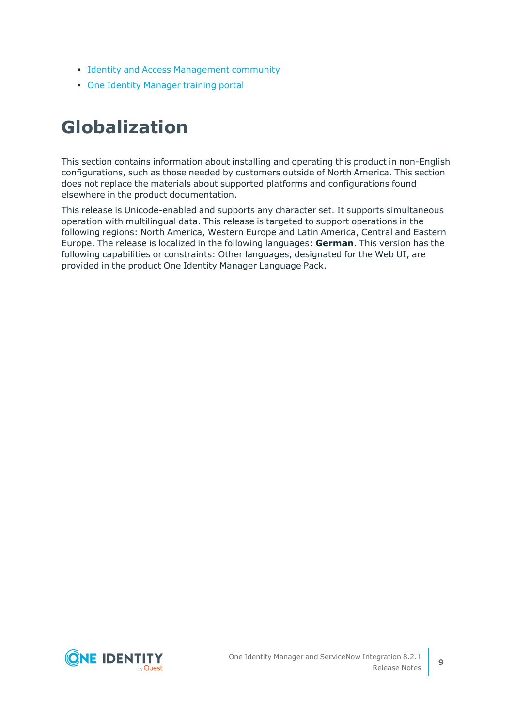- Identity and Access [Management](https://www.quest.com/community/one-identity/identity-manager/f/identity-manager-forum) community
- One Identity [Manager](https://support.oneidentity.com/identity-manager/training) training portal

# **Globalization**

This section contains information about installing and operating this product in non-English configurations, such as those needed by customers outside of North America. This section does not replace the materials about supported platforms and configurations found elsewhere in the product documentation.

This release is Unicode-enabled and supports any character set. It supports simultaneous operation with multilingual data. This release is targeted to support operations in the following regions: North America, Western Europe and Latin America, Central and Eastern Europe. The release is localized in the following languages: **German**. This version has the following capabilities or constraints: Other languages, designated for the Web UI, are provided in the product One Identity Manager Language Pack.